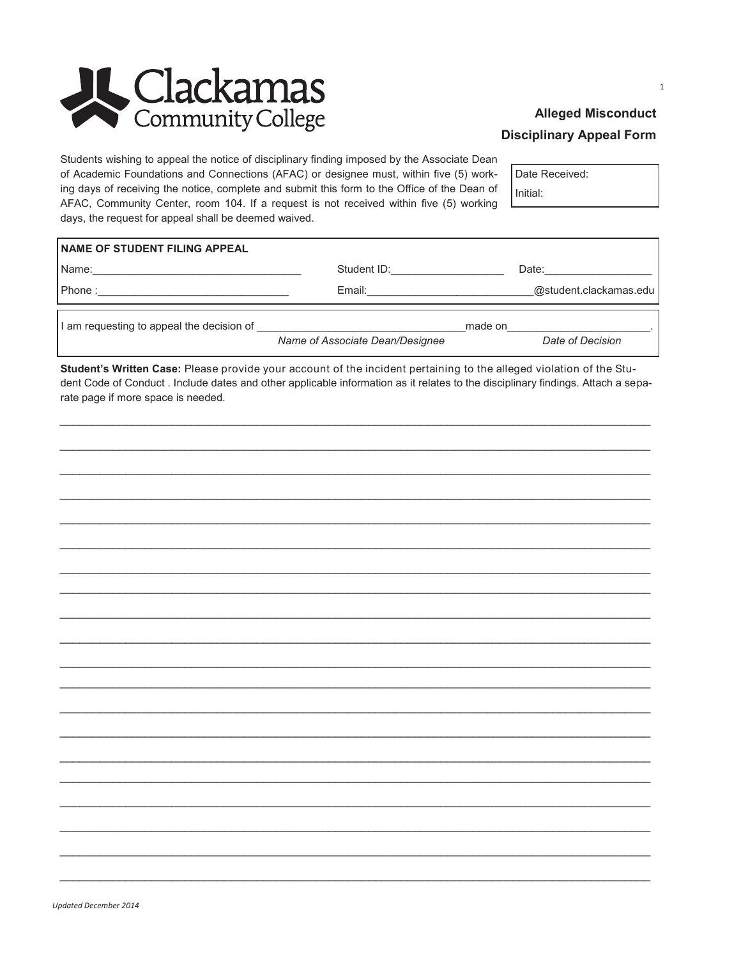

## **Alleged Misconduct Disciplinary Appeal Form**

Students wishing to appeal the notice of disciplinary finding imposed by the Associate Dean of Academic Foundations and Connections (AFAC) or designee must, within five (5) working days of receiving the notice, complete and submit this form to the Office of the Dean of AFAC, Community Center, room 104. If a request is not received within five (5) working days, the request for appeal shall be deemed waived.

Date Received: Initial:

| <b>NAME OF STUDENT FILING APPEAL</b>      |                                 |         |                        |
|-------------------------------------------|---------------------------------|---------|------------------------|
| Name:                                     | Student ID:                     |         | Date:                  |
| Phone:                                    | Email:                          |         | @student.clackamas.edu |
| I am requesting to appeal the decision of |                                 | made on |                        |
|                                           | Name of Associate Dean/Designee |         | Date of Decision       |

Student's Written Case: Please provide your account of the incident pertaining to the alleged violation of the Student Code of Conduct . Include dates and other applicable information as it relates to the disciplinary findings. Attach a separate page if more space is needed.

 $\mathbf{1}$